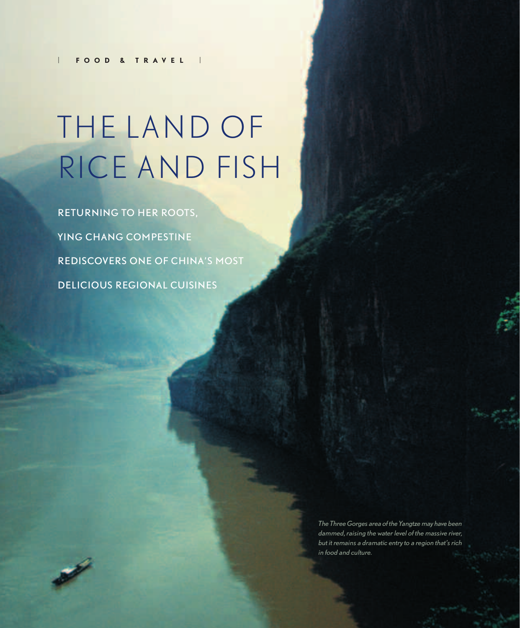# THE LAND OF RICE AND FISH

RETURNING TO HER ROOTS, YING CHANG COMPESTINE REDISCOVERS ONE OF CHINA'S MOST DELICIOUS REGIONAL CUISINES

> *The Three Gorges area of the Yangtze may have been dammed, raising the water level of the massive river, but it remains a dramatic entry to a region that's rich in food and culture.*

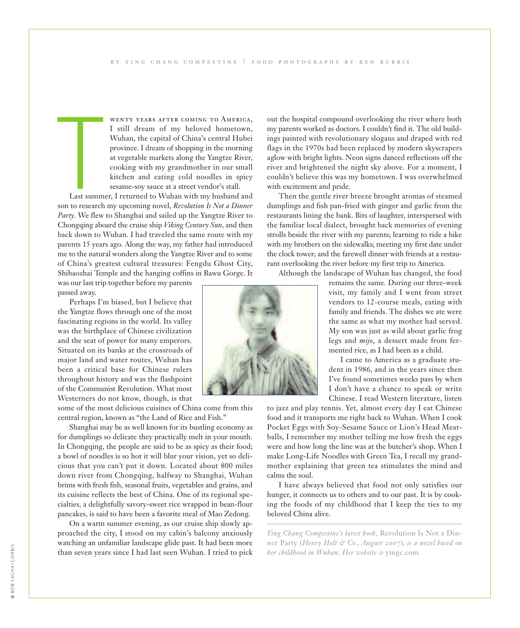T wenty years after coming to America, I still dream of my beloved hometown, Wuhan, the capital of China's central Hubei province. I dream of shopping in the morning at vegetable markets along the Yangtze River, cooking with my grandmother in our small kitchen and eating cold noodles in spicy sesame-soy sauce at a street vendor's stall.

Last summer, I returned to Wuhan with my husband and son to research my upcoming novel, *Revolution Is Not a Dinner Party*. We flew to Shanghai and sailed up the Yangtze River to Chongqing aboard the cruise ship *Viking Century Sun*, and then back down to Wuhan. I had traveled the same route with my parents 15 years ago. Along the way, my father had introduced me to the natural wonders along the Yangtze River and to some of China's greatest cultural treasures: Fengdu Ghost City, Shibaozhai Temple and the hanging coffins in Bawu Gorge. It

was our last trip together before my parents passed away.

Perhaps I'm biased, but I believe that the Yangtze flows through one of the most fascinating regions in the world. Its valley was the birthplace of Chinese civilization and the seat of power for many emperors. Situated on its banks at the crossroads of major land and water routes, Wuhan has been a critical base for Chinese rulers throughout history and was the flashpoint of the Communist Revolution. What most Westerners do not know, though, is that

some of the most delicious cuisines of China come from this central region, known as "the Land of Rice and Fish."

Shanghai may be as well known for its bustling economy as for dumplings so delicate they practically melt in your mouth. In Chongqing, the people are said to be as spicy as their food; a bowl of noodles is so hot it will blur your vision, yet so delicious that you can't put it down. Located about 800 miles down river from Chongqing, halfway to Shanghai, Wuhan brims with fresh fish, seasonal fruits, vegetables and grains, and its cuisine reflects the best of China. One of its regional specialties, a delightfully savory-sweet rice wrapped in bean-flour pancakes, is said to have been a favorite meal of Mao Zedong.

On a warm summer evening, as our cruise ship slowly approached the city, I stood on my cabin's balcony anxiously watching an unfamiliar landscape glide past. It had been more than seven years since I had last seen Wuhan. I tried to pick

out the hospital compound overlooking the river where both my parents worked as doctors. I couldn't find it. The old buildings painted with revolutionary slogans and draped with red flags in the 1970s had been replaced by modern skyscrapers aglow with bright lights. Neon signs danced reflections off the river and brightened the night sky above. For a moment, I couldn't believe this was my hometown. I was overwhelmed with excitement and pride.

Then the gentle river breeze brought aromas of steamed dumplings and fish pan-fried with ginger and garlic from the restaurants lining the bank. Bits of laughter, interspersed with the familiar local dialect, brought back memories of evening strolls beside the river with my parents; learning to ride a bike with my brothers on the sidewalks; meeting my first date under the clock tower; and the farewell dinner with friends at a restaurant overlooking the river before my first trip to America.

Although the landscape of Wuhan has changed, the food

remains the same. During our three-week visit, my family and I went from street vendors to 12-course meals, eating with family and friends. The dishes we ate were the same as what my mother had served. My son was just as wild about garlic frog legs and *mijo*, a dessert made from fermented rice, as I had been as a child.

I came to America as a graduate student in 1986, and in the years since then I've found sometimes weeks pass by when I don't have a chance to speak or write Chinese. I read Western literature, listen

to jazz and play tennis. Yet, almost every day I eat Chinese food and it transports me right back to Wuhan. When I cook Pocket Eggs with Soy-Sesame Sauce or Lion's Head Meatballs, I remember my mother telling me how fresh the eggs were and how long the line was at the butcher's shop. When I make Long-Life Noodles with Green Tea, I recall my grandmother explaining that green tea stimulates the mind and calms the soul.

I have always believed that food not only satisfies our hunger, it connects us to others and to our past. It is by cooking the foods of my childhood that I keep the ties to my beloved China alive.

*Ying Chang Compestine's latest book,* Revolution Is Not a Dinner Party (*Henry Holt & Co., August 2007*)*, is a novel based on her childhood in Wuhan. Her website is* yingc.com*.*

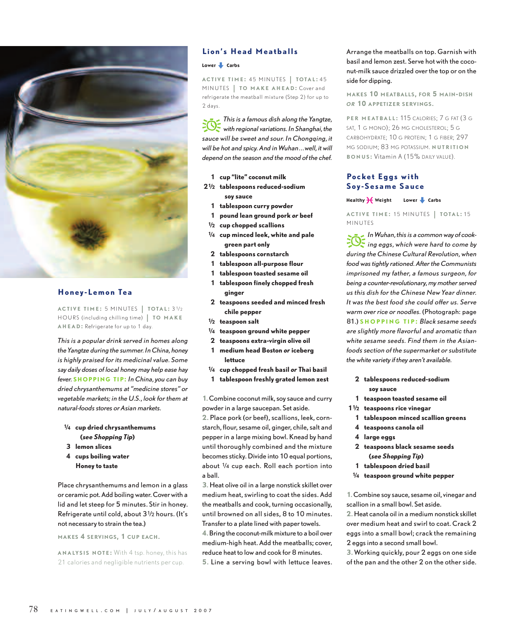

# **Honey-Lemon Tea**

**ACTIVE TIME :** 5 MINUTES | **TOTAL :** 31⁄ <sup>2</sup> HOU R S (including chilling time) | **TO MAKE AHE A D :** Refrigerate for up to 1 day.

*This is a popular drink served in homes along the Yangtze during the summer. In China, honey is highly praised for its medicinal value. Some say daily doses of local honey may help ease hay fever.* **SHOPPING TIP:** *In China, you can buy dried chrysanthemums at "medicine stores" or vegetable markets; in the U.S., look for them at natural-foods stores or Asian markets.* 

- **1⁄4 cup dried chrysanthemums (***see Shopping Tip***)**
- **3 lemon slices**
- **4 cups boiling water Honey to taste**

Place chrysanthemums and lemon in a glass or ceramic pot. Add boiling water. Cover with a lid and let steep for 5 minutes. Stir in honey. Refrigerate until cold, about 31⁄2 hours. (It's not necessary to strain the tea.)

**MAKES 4 SERVINGS, 1 CUP EACH.** 

**A N ALYSIS NOTE :** With 4 tsp. honey, this has 21 calories and negligible nutrients per cup.

# **Lion's Head Meatballs**

#### Lower **L** Carbs

**ACTIVE TIME :** 45 MINUTES | **TOTAL :** <sup>45</sup> MINUTES | **TO MAKE AHEAD**: Cover and refrigerate the meatball mixture (Step 2) for up to 2 days.

p*This is a famous dish along the Yangtze, with regional variations. In Shanghai, the* sauce will be sweet and sour. In Chongging, it *will be hot and spicy. And in Wuhan…well, it will depend on the season and the mood of the chef.* 

- **1 cup "lite" coconut milk**
- **21⁄2 tablespoons reduced-sodium soy sauce**
- **1 tablespoon curry powder**
- **1 pound lean ground pork** *or* **beef**
- **1⁄2 cup chopped scallions**
- **1⁄4 cup minced leek, white and pale green part only**
- **2 tablespoons cornstarch**
- **1 tablespoon all-purpose flour**
- **1 tablespoon toasted sesame oil**
- **1 tablespoon finely chopped fresh ginger**
- **2 teaspoons seeded and minced fresh chile pepper**
- **1⁄2 teaspoon salt**
- **1⁄4 teaspoon ground white pepper**
- **2 teaspoons extra-virgin olive oil**
- **1 medium head Boston** *or* **iceberg lettuce**
- **1⁄4 cup chopped fresh basil** *or* **Thai basil**
- **1 tablespoon freshly grated lemon zest**

**1.** Combine coconut milk, soy sauce and curry powder in a large saucepan. Set aside.

**2.** Place pork (or beef), scallions, leek, cornstarch, flour, sesame oil, ginger, chile, salt and pepper in a large mixing bowl. Knead by hand until thoroughly combined and the mixture becomes sticky. Divide into 10 equal portions, about 1⁄4 cup each. Roll each portion into a ball.

**3.** Heat olive oil in a large nonstick skillet over medium heat, swirling to coat the sides. Add the meatballs and cook, turning occasionally, until browned on all sides, 8 to 10 minutes. Transfer to a plate lined with paper towels. **4.**Bring the coconut-milk mixture to a boil over medium-high heat. Add the meatballs; cover, reduce heat to low and cook for 8 minutes. **5.** Line a serving bowl with lettuce leaves.

Arrange the meatballs on top. Garnish with basil and lemon zest. Serve hot with the coconut-milk sauce drizzled over the top or on the side for dipping.

**MAKES 10 MEATBALLS, FOR 5 MAIN-DISH** *OR* **10 APPETIZER SERVINGS.**

**PER MEATBALL :** 115 CALORIES; 7 G FAT (3 G SAT, 1 G MONO); 26 MG CHOLESTEROL; 5 G CARBOHYDRATE; 10 G PROTEIN; 1 G FIBER; 297 MG SODIUM; 83 MG POTASSIUM. **NUTRITION BONUS :** Vitamin A (15% DAILY VALUE).

## **Pocket Eggs with Soy-Sesame Sauce**

#### Healthy  $\frac{1}{2}$  Weight Lower **t** Carbs

**ACTIVE TIME :** 15 MINUTES | **TOTAL :** <sup>15</sup> MINUTES

*In Wuhan, this is a common way of cook-*<br>*ing eggs, which were hard to come by*<br>*ing in China China Laboration during the Chinese Cultural Revolution, when food was tightly rationed. After the Communists imprisoned my father, a famous surgeon, for being a counter-revolutionary, my mother served us this dish for the Chinese New Year dinner. It was the best food she could offer us. Serve warm over rice or noodles.* (Photograph: page 81.) **S H O PPING TIP :** *Black sesame seeds are slightly more flavorful and aromatic than white sesame seeds. Find them in the Asianfoods section of the supermarket or substitute the white variety if they aren't available.*

- **2 tablespoons reduced-sodium soy sauce**
- **1 teaspoon toasted sesame oil**
- **11⁄2 teaspoons rice vinegar**
	- **1 tablespoon minced scallion greens**
	- **4 teaspoons canola oil**
	- **4 large eggs**
	- **2 teaspoons black sesame seeds (***see Shopping Tip***)**
	- **1 tablespoon dried basil**
- **1⁄4 teaspoon ground white pepper**

**1.** Combine soy sauce, sesame oil, vinegar and scallion in a small bowl. Set aside.

**2.** Heat canola oil in a medium nonstick skillet over medium heat and swirl to coat. Crack 2 eggs into a small bowl; crack the remaining 2 eggs into a second small bowl.

**3.** Working quickly, pour 2 eggs on one side of the pan and the other 2 on the other side.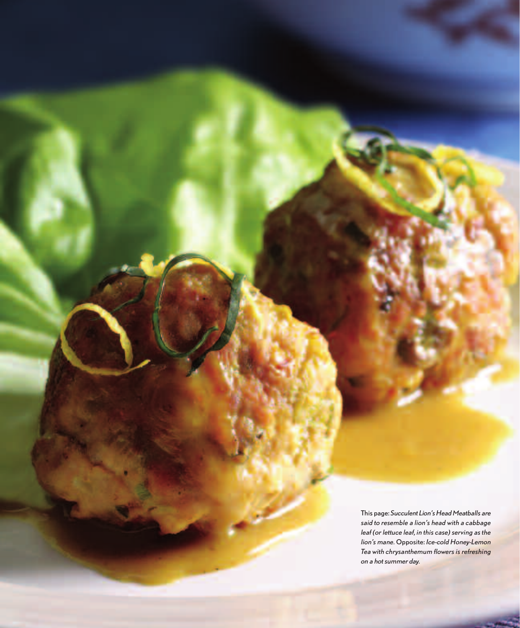This page: *Succulent Lion's Head Meatballs are said to resemble a lion's head with a cabbage leaf (or lettuce leaf, in this case) serving as the lion's mane.* Opposite: *Ice-cold Honey-Lemon Tea with chrysanthemum flowers is refreshing on a hot summer day.*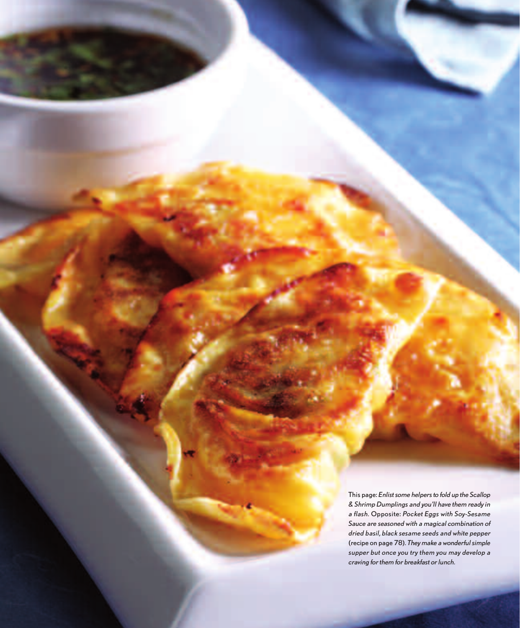This page: *Enlist some helpers to fold up the Scallop & Shrimp Dumplings and you'll have them ready in a flash.* Opposite: *Pocket Eggs with Soy-Sesame Sauce are seasoned with a magical combination of dried basil, black sesame seeds and white pepper* (recipe on page 78)*. They make a wonderful simple supper but once you try them you may develop a craving for them for breakfast or lunch.*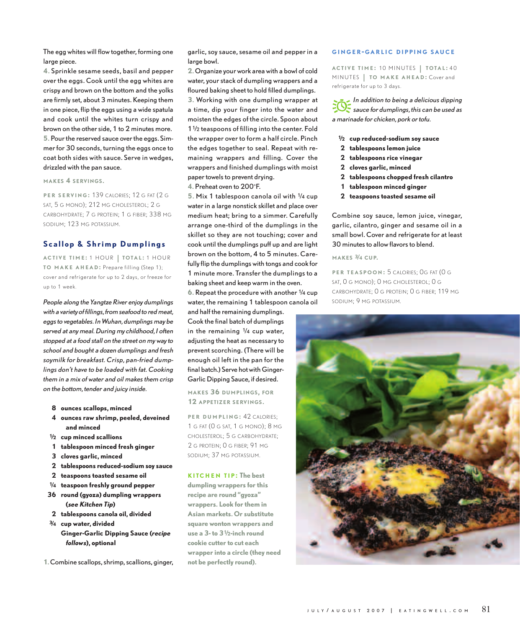The egg whites will flow together, forming one large piece.

**4.** Sprinkle sesame seeds, basil and pepper over the eggs. Cook until the egg whites are crispy and brown on the bottom and the yolks are firmly set, about 3 minutes. Keeping them in one piece, flip the eggs using a wide spatula and cook until the whites turn crispy and brown on the other side, 1 to 2 minutes more. **5.** Pour the reserved sauce over the eggs. Simmer for 30 seconds, turning the eggs once to coat both sides with sauce. Serve in wedges, drizzled with the pan sauce.

**MAKES 4 SERVINGS.**

**PER SERVING :** 139 CALORIES; 12 G FAT (2 G SAT, 5 G MONO); 212 MG CHOLESTEROL; 2 G CARBOHYDRATE; 7 G PROTEIN; 1 G FIBER; 338 MG SODIUM; 123 MG POTASSIUM.

## **Scallop & Shrimp Dumplings**

**<sup>A</sup> <sup>C</sup> <sup>T</sup> IV E TIME :** 1 HOU R | **TOTA L :** 1 HOU R **TO MAKE AHEAD :** Prepare filling (Step 1); cover and refrigerate for up to 2 days, or freeze for up to 1 week.

*People along the Yangtze River enjoy dumplings with a variety of fillings, from seafood to red meat, eggs to vegetables. In Wuhan, dumplings may be served at any meal. During my childhood, I often stopped at a food stall on the street on my way to school and bought a dozen dumplings and fresh soymilk for breakfast. Crisp, pan-fried dumplings don't have to be loaded with fat. Cooking them in a mix of water and oil makes them crisp on the bottom, tender and juicy inside.* 

- **8 ounces scallops, minced**
- **4 ounces raw shrimp, peeled, deveined and minced**
- **1⁄2 cup minced scallions**
- **1 tablespoon minced fresh ginger**
- **3 cloves garlic, minced**
- **2 tablespoons reduced-sodium soy sauce**
- **2 teaspoons toasted sesame oil**
- **1⁄4 teaspoon freshly ground pepper**
- **36 round (gyoza) dumpling wrappers (***see Kitchen Tip***)**
- **2 tablespoons canola oil, divided**
- **3⁄4 cup water, divided Ginger-Garlic Dipping Sauce (***recipe follows***), optional**
- **1.** Combine scallops, shrimp, scallions, ginger,

garlic, soy sauce, sesame oil and pepper in a large bowl.

**2.** Organize your work area with a bowl of cold water, your stack of dumpling wrappers and a floured baking sheet to hold filled dumplings. **3.** Working with one dumpling wrapper at a time, dip your finger into the water and moisten the edges of the circle. Spoon about 11⁄2 teaspoons of filling into the center. Fold the wrapper over to form a half circle. Pinch the edges together to seal. Repeat with remaining wrappers and filling. Cover the wrappers and finished dumplings with moist paper towels to prevent drying.

**4.** Preheat oven to 200°F.

**5.** Mix 1 tablespoon canola oil with 1⁄4 cup water in a large nonstick skillet and place over medium heat; bring to a simmer. Carefully arrange one-third of the dumplings in the skillet so they are not touching; cover and cook until the dumplings puff up and are light brown on the bottom, 4 to 5 minutes. Carefully flip the dumplings with tongs and cook for 1 minute more. Transfer the dumplings to a baking sheet and keep warm in the oven.

**6.** Repeat the procedure with another 1⁄4 cup water, the remaining 1 tablespoon canola oil

and half the remaining dumplings. Cook the final batch of dumplings in the remaining 1⁄4 cup water, adjusting the heat as necessary to prevent scorching. (There will be enough oil left in the pan for the final batch.) Serve hot with Ginger-Garlic Dipping Sauce, if desired.

**MAKES 36 DUMPLINGS, FOR 12 APPETIZER SERVINGS.**

**PER DUMPLING: 42 CALORIES:** 1 G FAT (0 G SAT, 1 G MONO); 8 MG CHOLESTEROL; 5 G CARBOHYDRATE; 2 G PROTEIN; 0 G FIBER; 91 MG SODIUM; 37 MG POTASSIUM.

**K I T CHEN T IP : The best**

**dumpling wrappers for this recipe are round "gyoza" wrappers. Look for them in Asian markets. Or substitute square wonton wrappers and use a 3- to 31⁄2-inch round cookie cutter to cut each wrapper into a circle (they need not be perfectly round).**

#### **G INGER - G ARLIC DIPPING SAUCE**

**ACTIVE TIME :** 10 MINUTES | **TOTAL :** <sup>40</sup> MINUTES | **TO MAKE AHEAD**: Cover and refrigerate for up to 3 days.

p*In addition to being a delicious dipping sauce for dumplings, this can be used as a marinade for chicken, pork or tofu.* 

- **1⁄2 cup reduced-sodium soy sauce**
- **2 tablespoons lemon juice**
- **2 tablespoons rice vinegar**
- **2 cloves garlic, minced**
- **2 tablespoons chopped fresh cilantro**
- **1 tablespoon minced ginger**
- **2 teaspoons toasted sesame oil**

Combine soy sauce, lemon juice, vinegar, garlic, cilantro, ginger and sesame oil in a small bowl. Cover and refrigerate for at least 30 minutes to allow flavors to blend.

#### **MAKES 3⁄4 CUP.**

**PE R T E A SPOON :** 5 CALORIES; 0G FAT (0 G SAT, 0 G MONO); 0 MG CHOLESTEROL; 0 G CARBOHYDRATE; 0 G PROTEIN; 0 G FIBER; 119 MG SODIUM; 9 MG POTASSIUM.

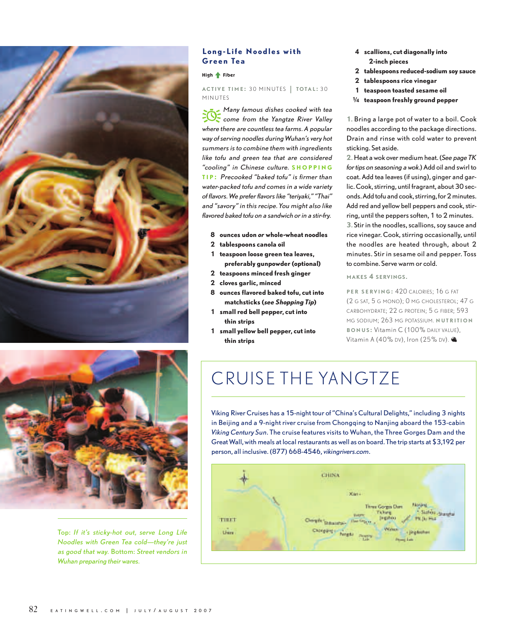



Top: *If it's sticky-hot out, serve Long Life Noodles with Green Tea cold—they're just as good that way.* Bottom: *Street vendors in Wuhan preparing their wares.*

## **Long-Life Noodles with Green Tea**

#### High  $\triangle$  Fiber

**ACTIVE TIME :** 30 MINUTES | **TOTAL :** <sup>30</sup> MINUTES

p *Many famous dishes cooked with tea come from the Yangtze River Valley where there are countless tea farms. A popular way of serving noodles during Wuhan's very hot summers is to combine them with ingredients like tofu and green tea that are considered "cooling" in Chinese culture.* **S HOPPING T I P :** *Precooked "baked tofu" is firmer than water-packed tofu and comes in a wide variety of flavors. We prefer flavors like "teriyaki," "Thai" and "savory" in this recipe. You might also like flavored baked tofu on a sandwich or in a stir-fry.* 

**8 ounces udon** *or* **whole-wheat noodles**

- **2 tablespoons canola oil**
- **1 teaspoon loose green tea leaves, preferably gunpowder (optional)**
- **2 teaspoons minced fresh ginger**
- **2 cloves garlic, minced**
- **8 ounces flavored baked tofu, cut into matchsticks (***see Shopping Tip***)**
- **1 small red bell pepper, cut into thin strips**
- **1 small yellow bell pepper, cut into thin strips**
- **4 scallions, cut diagonally into 2-inch pieces**
- **2 tablespoons reduced-sodium soy sauce**
- **2 tablespoons rice vinegar**
- **1 teaspoon toasted sesame oil**
- **1⁄4 teaspoon freshly ground pepper**

**1.** Bring a large pot of water to a boil. Cook noodles according to the package directions. Drain and rinse with cold water to prevent sticking. Set aside.

**2.** Heat a wok over medium heat. (*See page TK for tips on seasoning a wok.*) Add oil and swirl to coat. Add tea leaves (if using), ginger and garlic. Cook, stirring, until fragrant, about 30 seconds. Add tofu and cook, stirring, for 2 minutes. Add red and yellow bell peppers and cook, stirring, until the peppers soften, 1 to 2 minutes. **3.** Stir in the noodles, scallions, soy sauce and rice vinegar. Cook, stirring occasionally, until the noodles are heated through, about 2 minutes. Stir in sesame oil and pepper. Toss to combine. Serve warm or cold.

**MAKES 4 SERVINGS.**

**PER SERVING: 420 CALORIES: 16 G FAT** (2 G SAT, 5 G MONO); 0 MG CHOLESTEROL; 47 G CARBOHYDRATE; 22 G PROTEIN; 5 G FIBER; 593 MG SODIUM; 263 MG POTASSIUM. **NUTRITION B O N U S :** Vitamin C (100% DAILY VALUE), Vitamin A (40% DV), Iron (25% DV).

# CRUISE THE YANGTZE

Viking River Cruises has a 15-night tour of "China's Cultural Delights," including 3 nights in Beijing and a 9-night river cruise from Chongqing to Nanjing aboard the 153-cabin *Viking Century Sun*. The cruise features visits to Wuhan, the Three Gorges Dam and the Great Wall, with meals at local restaurants as well as on board. The trip starts at \$3,192 per person, all inclusive. (877) 668-4546, *vikingrivers.com*.